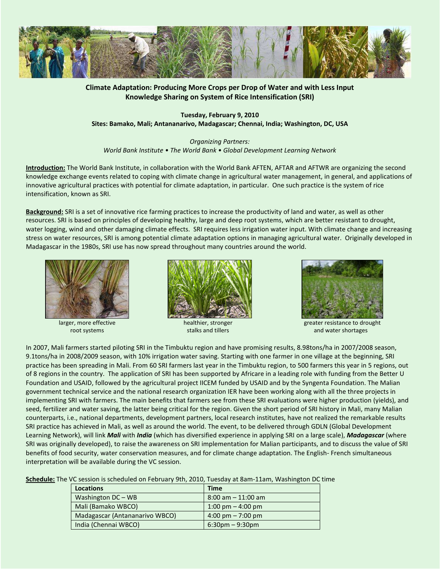

# **Climate Adaptation: Producing More Crops per Drop of Water and with Less Input Knowledge Sharing on System of Rice Intensification (SRI)**

**Tuesday, February 9, 2010 Sites: Bamako, Mali; Antananarivo, Madagascar; Chennai, India; Washington, DC, USA** 

*Organizing Partners: World Bank Institute • The World Bank • Global Development Learning Network* 

**Introduction:** The World Bank Institute, in collaboration with the World Bank AFTEN, AFTAR and AFTWR are organizing the second knowledge exchange events related to coping with climate change in agricultural water management, in general, and applications of innovative agricultural practices with potential for climate adaptation, in particular. One such practice is the system of rice intensification, known as SRI.

**Background:** SRI is a set of innovative rice farming practices to increase the productivity of land and water, as well as other resources. SRI is based on principles of developing healthy, large and deep root systems, which are better resistant to drought, water logging, wind and other damaging climate effects. SRI requires less irrigation water input. With climate change and increasing stress on water resources, SRI is among potential climate adaptation options in managing agricultural water. Originally developed in Madagascar in the 1980s, SRI use has now spread throughout many countries around the world.



larger, more effective root systems



healthier, stronger stalks and tillers



 greater resistance to drought and water shortages

In 2007, Mali farmers started piloting SRI in the Timbuktu region and have promising results, 8.98tons/ha in 2007/2008 season, 9.1tons/ha in 2008/2009 season, with 10% irrigation water saving. Starting with one farmer in one village at the beginning, SRI practice has been spreading in Mali. From 60 SRI farmers last year in the Timbuktu region, to 500 farmers this year in 5 regions, out of 8 regions in the country. The application of SRI has been supported by Africare in a leading role with funding from the Better U Foundation and USAID, followed by the agricultural project IICEM funded by USAID and by the Syngenta Foundation. The Malian government technical service and the national research organization IER have been working along with all the three projects in implementing SRI with farmers. The main benefits that farmers see from these SRI evaluations were higher production (yields), and seed, fertilizer and water saving, the latter being critical for the region. Given the short period of SRI history in Mali, many Malian counterparts, i.e., national departments, development partners, local research institutes, have not realized the remarkable results SRI practice has achieved in Mali, as well as around the world. The event, to be delivered through GDLN (Global Development Learning Network), will link *Mali* with *India* (which has diversified experience in applying SRI on a large scale), *Madagascar* (where SRI was originally developed), to raise the awareness on SRI implementation for Malian participants, and to discuss the value of SRI benefits of food security, water conservation measures, and for climate change adaptation. The English- French simultaneous interpretation will be available during the VC session.

**Schedule:** The VC session is scheduled on February 9th, 2010, Tuesday at 8am-11am, Washington DC time

| Locations                      | <b>Time</b>                         |
|--------------------------------|-------------------------------------|
| Washington DC - WB             | $8:00$ am $-11:00$ am               |
| Mali (Bamako WBCO)             | 1:00 pm $-$ 4:00 pm                 |
| Madagascar (Antananarivo WBCO) | $4:00 \text{ pm} - 7:00 \text{ pm}$ |
| India (Chennai WBCO)           | $6:30$ pm – 9:30pm                  |